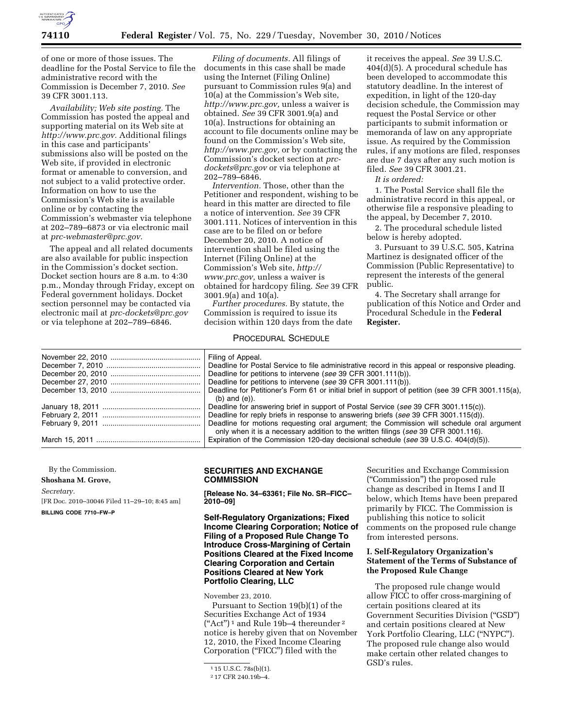

of one or more of those issues. The deadline for the Postal Service to file the administrative record with the Commission is December 7, 2010. *See*  39 CFR 3001.113.

*Availability; Web site posting.* The Commission has posted the appeal and supporting material on its Web site at *[http://www.prc.gov.](http://www.prc.gov)* Additional filings in this case and participants' submissions also will be posted on the Web site, if provided in electronic format or amenable to conversion, and not subject to a valid protective order. Information on how to use the Commission's Web site is available online or by contacting the Commission's webmaster via telephone at 202–789–6873 or via electronic mail at *[prc-webmaster@prc.gov.](mailto:prc-webmaster@prc.gov)* 

The appeal and all related documents are also available for public inspection in the Commission's docket section. Docket section hours are 8 a.m. to 4:30 p.m., Monday through Friday, except on Federal government holidays. Docket section personnel may be contacted via electronic mail at *[prc-dockets@prc.gov](mailto:prc-dockets@prc.gov)*  or via telephone at 202–789–6846.

*Filing of documents.* All filings of documents in this case shall be made using the Internet (Filing Online) pursuant to Commission rules 9(a) and 10(a) at the Commission's Web site, *[http://www.prc.gov,](http://www.prc.gov)* unless a waiver is obtained. *See* 39 CFR 3001.9(a) and 10(a). Instructions for obtaining an account to file documents online may be found on the Commission's Web site, *[http://www.prc.gov,](http://www.prc.gov)* or by contacting the Commission's docket section at *[prc](mailto:prc-dockets@prc.gov)[dockets@prc.gov](mailto:prc-dockets@prc.gov)* or via telephone at 202–789–6846.

*Intervention.* Those, other than the Petitioner and respondent, wishing to be heard in this matter are directed to file a notice of intervention. *See* 39 CFR 3001.111. Notices of intervention in this case are to be filed on or before December 20, 2010. A notice of intervention shall be filed using the Internet (Filing Online) at the Commission's Web site, *[http://](http://www.prc.gov) [www.prc.gov,](http://www.prc.gov)* unless a waiver is obtained for hardcopy filing. *See* 39 CFR 3001.9(a) and 10(a).

*Further procedures.* By statute, the Commission is required to issue its decision within 120 days from the date

# PROCEDURAL SCHEDULE

it receives the appeal. *See* 39 U.S.C. 404(d)(5). A procedural schedule has been developed to accommodate this statutory deadline. In the interest of expedition, in light of the 120-day decision schedule, the Commission may request the Postal Service or other participants to submit information or memoranda of law on any appropriate issue. As required by the Commission rules, if any motions are filed, responses are due 7 days after any such motion is filed. *See* 39 CFR 3001.21.

*It is ordered:* 

1. The Postal Service shall file the administrative record in this appeal, or otherwise file a responsive pleading to the appeal, by December 7, 2010.

2. The procedural schedule listed below is hereby adopted.

3. Pursuant to 39 U.S.C. 505, Katrina Martinez is designated officer of the Commission (Public Representative) to represent the interests of the general public.

4. The Secretary shall arrange for publication of this Notice and Order and Procedural Schedule in the **Federal Register.** 

| Filing of Appeal.                                                                                  |
|----------------------------------------------------------------------------------------------------|
| Deadline for Postal Service to file administrative record in this appeal or responsive pleading.   |
| Deadline for petitions to intervene (see 39 CFR 3001.111(b)).                                      |
| Deadline for petitions to intervene (see 39 CFR 3001.111(b)).                                      |
| Deadline for Petitioner's Form 61 or initial brief in support of petition (see 39 CFR 3001.115(a), |
| $(b)$ and $(e)$ ).                                                                                 |
| Deadline for answering brief in support of Postal Service (see 39 CFR 3001.115(c)).                |
| Deadline for reply briefs in response to answering briefs (see 39 CFR 3001.115(d)).                |
| Deadline for motions requesting oral argument; the Commission will schedule oral argument          |
| only when it is a necessary addition to the written filings (see 39 CFR 3001.116).                 |
| Expiration of the Commission 120-day decisional schedule (see 39 U.S.C. $404(d)(5)$ ).             |

By the Commission.

**Shoshana M. Grove,** 

*Secretary.* 

[FR Doc. 2010–30046 Filed 11–29–10; 8:45 am] **BILLING CODE 7710–FW–P** 

### **SECURITIES AND EXCHANGE COMMISSION**

**[Release No. 34–63361; File No. SR–FICC– 2010–09]** 

**Self-Regulatory Organizations; Fixed Income Clearing Corporation; Notice of Filing of a Proposed Rule Change To Introduce Cross-Margining of Certain Positions Cleared at the Fixed Income Clearing Corporation and Certain Positions Cleared at New York Portfolio Clearing, LLC** 

November 23, 2010.

Pursuant to Section 19(b)(1) of the Securities Exchange Act of 1934  $("Act")^1$  and Rule 19b-4 thereunder <sup>2</sup> notice is hereby given that on November 12, 2010, the Fixed Income Clearing Corporation ("FICC") filed with the

Securities and Exchange Commission (''Commission'') the proposed rule change as described in Items I and II below, which Items have been prepared primarily by FICC. The Commission is publishing this notice to solicit comments on the proposed rule change from interested persons.

# **I. Self-Regulatory Organization's Statement of the Terms of Substance of the Proposed Rule Change**

The proposed rule change would allow FICC to offer cross-margining of certain positions cleared at its Government Securities Division (''GSD'') and certain positions cleared at New York Portfolio Clearing, LLC (''NYPC''). The proposed rule change also would make certain other related changes to GSD's rules.

 $115$  U.S.C. 78s(b)(1).

<sup>2</sup> 17 CFR 240.19b–4.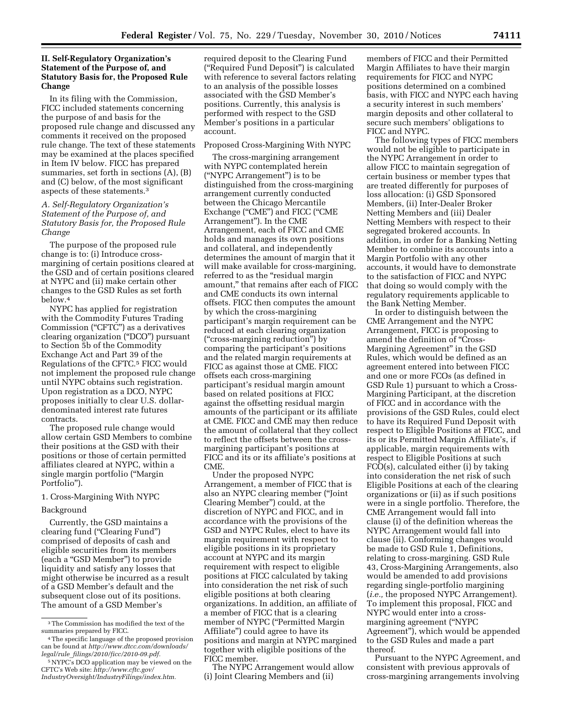## **II. Self-Regulatory Organization's Statement of the Purpose of, and Statutory Basis for, the Proposed Rule Change**

In its filing with the Commission, FICC included statements concerning the purpose of and basis for the proposed rule change and discussed any comments it received on the proposed rule change. The text of these statements may be examined at the places specified in Item IV below. FICC has prepared summaries, set forth in sections (A), (B) and (C) below, of the most significant aspects of these statements.3

## *A. Self-Regulatory Organization's Statement of the Purpose of, and Statutory Basis for, the Proposed Rule Change*

The purpose of the proposed rule change is to: (i) Introduce crossmargining of certain positions cleared at the GSD and of certain positions cleared at NYPC and (ii) make certain other changes to the GSD Rules as set forth below.4

NYPC has applied for registration with the Commodity Futures Trading Commission ("CFTC") as a derivatives clearing organization (''DCO'') pursuant to Section 5b of the Commodity Exchange Act and Part 39 of the Regulations of the CFTC.5 FICC would not implement the proposed rule change until NYPC obtains such registration. Upon registration as a DCO, NYPC proposes initially to clear U.S. dollardenominated interest rate futures contracts.

The proposed rule change would allow certain GSD Members to combine their positions at the GSD with their positions or those of certain permitted affiliates cleared at NYPC, within a single margin portfolio (''Margin Portfolio'').

### 1. Cross-Margining With NYPC

## Background

Currently, the GSD maintains a clearing fund (''Clearing Fund'') comprised of deposits of cash and eligible securities from its members (each a ''GSD Member'') to provide liquidity and satisfy any losses that might otherwise be incurred as a result of a GSD Member's default and the subsequent close out of its positions. The amount of a GSD Member's

required deposit to the Clearing Fund (''Required Fund Deposit'') is calculated with reference to several factors relating to an analysis of the possible losses associated with the GSD Member's positions. Currently, this analysis is performed with respect to the GSD Member's positions in a particular account.

### Proposed Cross-Margining With NYPC

The cross-margining arrangement with NYPC contemplated herein (''NYPC Arrangement'') is to be distinguished from the cross-margining arrangement currently conducted between the Chicago Mercantile Exchange ("CME") and FICC ("CME Arrangement''). In the CME Arrangement, each of FICC and CME holds and manages its own positions and collateral, and independently determines the amount of margin that it will make available for cross-margining, referred to as the "residual margin amount,'' that remains after each of FICC and CME conducts its own internal offsets. FICC then computes the amount by which the cross-margining participant's margin requirement can be reduced at each clearing organization (''cross-margining reduction'') by comparing the participant's positions and the related margin requirements at FICC as against those at CME. FICC offsets each cross-margining participant's residual margin amount based on related positions at FICC against the offsetting residual margin amounts of the participant or its affiliate at CME. FICC and CME may then reduce the amount of collateral that they collect to reflect the offsets between the crossmargining participant's positions at FICC and its or its affiliate's positions at CME.

Under the proposed NYPC Arrangement, a member of FICC that is also an NYPC clearing member (''Joint Clearing Member'') could, at the discretion of NYPC and FICC, and in accordance with the provisions of the GSD and NYPC Rules, elect to have its margin requirement with respect to eligible positions in its proprietary account at NYPC and its margin requirement with respect to eligible positions at FICC calculated by taking into consideration the net risk of such eligible positions at both clearing organizations. In addition, an affiliate of a member of FICC that is a clearing member of NYPC (''Permitted Margin Affiliate'') could agree to have its positions and margin at NYPC margined together with eligible positions of the FICC member.

The NYPC Arrangement would allow (i) Joint Clearing Members and (ii)

members of FICC and their Permitted Margin Affiliates to have their margin requirements for FICC and NYPC positions determined on a combined basis, with FICC and NYPC each having a security interest in such members' margin deposits and other collateral to secure such members' obligations to FICC and NYPC.

The following types of FICC members would not be eligible to participate in the NYPC Arrangement in order to allow FICC to maintain segregation of certain business or member types that are treated differently for purposes of loss allocation: (i) GSD Sponsored Members, (ii) Inter-Dealer Broker Netting Members and (iii) Dealer Netting Members with respect to their segregated brokered accounts. In addition, in order for a Banking Netting Member to combine its accounts into a Margin Portfolio with any other accounts, it would have to demonstrate to the satisfaction of FICC and NYPC that doing so would comply with the regulatory requirements applicable to the Bank Netting Member.

In order to distinguish between the CME Arrangement and the NYPC Arrangement, FICC is proposing to amend the definition of ''Cross-Margining Agreement'' in the GSD Rules, which would be defined as an agreement entered into between FICC and one or more FCOs (as defined in GSD Rule 1) pursuant to which a Cross-Margining Participant, at the discretion of FICC and in accordance with the provisions of the GSD Rules, could elect to have its Required Fund Deposit with respect to Eligible Positions at FICC, and its or its Permitted Margin Affiliate's, if applicable, margin requirements with respect to Eligible Positions at such FCO(s), calculated either (i) by taking into consideration the net risk of such Eligible Positions at each of the clearing organizations or (ii) as if such positions were in a single portfolio. Therefore, the CME Arrangement would fall into clause (i) of the definition whereas the NYPC Arrangement would fall into clause (ii). Conforming changes would be made to GSD Rule 1, Definitions, relating to cross-margining. GSD Rule 43, Cross-Margining Arrangements, also would be amended to add provisions regarding single-portfolio margining (*i.e.,* the proposed NYPC Arrangement). To implement this proposal, FICC and NYPC would enter into a crossmargining agreement (''NYPC Agreement''), which would be appended to the GSD Rules and made a part thereof.

Pursuant to the NYPC Agreement, and consistent with previous approvals of cross-margining arrangements involving

<sup>3</sup>The Commission has modified the text of the summaries prepared by FICC.

<sup>4</sup>The specific language of the proposed provision can be found at *[http://www.dtcc.com/downloads/](http://www.dtcc.com/downloads/legal/rule_filings/2010/ficc/2010-09.pdf) legal/rule*\_*[filings/2010/ficc/2010-09.pdf.](http://www.dtcc.com/downloads/legal/rule_filings/2010/ficc/2010-09.pdf)* 

<sup>5</sup>NYPC's DCO application may be viewed on the CFTC's Web site: *[http://www.cftc.gov/](http://www.cftc.gov/IndustryOversight/IndustryFilings/index.htm)  [IndustryOversight/IndustryFilings/index.htm.](http://www.cftc.gov/IndustryOversight/IndustryFilings/index.htm)*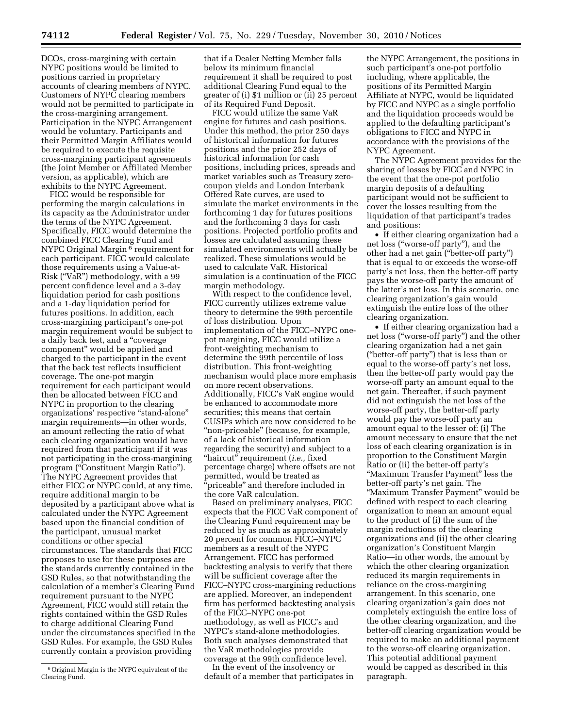DCOs, cross-margining with certain NYPC positions would be limited to positions carried in proprietary accounts of clearing members of NYPC. Customers of NYPC clearing members would not be permitted to participate in the cross-margining arrangement. Participation in the NYPC Arrangement would be voluntary. Participants and their Permitted Margin Affiliates would be required to execute the requisite cross-margining participant agreements (the Joint Member or Affiliated Member version, as applicable), which are exhibits to the NYPC Agreement.

FICC would be responsible for performing the margin calculations in its capacity as the Administrator under the terms of the NYPC Agreement. Specifically, FICC would determine the combined FICC Clearing Fund and NYPC Original Margin 6 requirement for each participant. FICC would calculate those requirements using a Value-at-Risk (''VaR'') methodology, with a 99 percent confidence level and a 3-day liquidation period for cash positions and a 1-day liquidation period for futures positions. In addition, each cross-margining participant's one-pot margin requirement would be subject to a daily back test, and a ''coverage component'' would be applied and charged to the participant in the event that the back test reflects insufficient coverage. The one-pot margin requirement for each participant would then be allocated between FICC and NYPC in proportion to the clearing organizations' respective ''stand-alone'' margin requirements—in other words, an amount reflecting the ratio of what each clearing organization would have required from that participant if it was not participating in the cross-margining program (''Constituent Margin Ratio''). The NYPC Agreement provides that either FICC or NYPC could, at any time, require additional margin to be deposited by a participant above what is calculated under the NYPC Agreement based upon the financial condition of the participant, unusual market conditions or other special circumstances. The standards that FICC proposes to use for these purposes are the standards currently contained in the GSD Rules, so that notwithstanding the calculation of a member's Clearing Fund requirement pursuant to the NYPC Agreement, FICC would still retain the rights contained within the GSD Rules to charge additional Clearing Fund under the circumstances specified in the GSD Rules. For example, the GSD Rules currently contain a provision providing

that if a Dealer Netting Member falls below its minimum financial requirement it shall be required to post additional Clearing Fund equal to the greater of (i) \$1 million or (ii) 25 percent of its Required Fund Deposit.

FICC would utilize the same VaR engine for futures and cash positions. Under this method, the prior 250 days of historical information for futures positions and the prior 252 days of historical information for cash positions, including prices, spreads and market variables such as Treasury zerocoupon yields and London Interbank Offered Rate curves, are used to simulate the market environments in the forthcoming 1 day for futures positions and the forthcoming 3 days for cash positions. Projected portfolio profits and losses are calculated assuming these simulated environments will actually be realized. These simulations would be used to calculate VaR. Historical simulation is a continuation of the FICC margin methodology.

With respect to the confidence level, FICC currently utilizes extreme value theory to determine the 99th percentile of loss distribution. Upon implementation of the FICC–NYPC onepot margining, FICC would utilize a front-weighting mechanism to determine the 99th percentile of loss distribution. This front-weighting mechanism would place more emphasis on more recent observations. Additionally, FICC's VaR engine would be enhanced to accommodate more securities; this means that certain CUSIPs which are now considered to be "non-priceable" (because, for example, of a lack of historical information regarding the security) and subject to a ''haircut'' requirement (*i.e.,* fixed percentage charge) where offsets are not permitted, would be treated as 'priceable" and therefore included in the core VaR calculation.

Based on preliminary analyses, FICC expects that the FICC VaR component of the Clearing Fund requirement may be reduced by as much as approximately 20 percent for common FICC–NYPC members as a result of the NYPC Arrangement. FICC has performed backtesting analysis to verify that there will be sufficient coverage after the FICC–NYPC cross-margining reductions are applied. Moreover, an independent firm has performed backtesting analysis of the FICC–NYPC one-pot methodology, as well as FICC's and NYPC's stand-alone methodologies. Both such analyses demonstrated that the VaR methodologies provide coverage at the 99th confidence level.

In the event of the insolvency or default of a member that participates in

the NYPC Arrangement, the positions in such participant's one-pot portfolio including, where applicable, the positions of its Permitted Margin Affiliate at NYPC, would be liquidated by FICC and NYPC as a single portfolio and the liquidation proceeds would be applied to the defaulting participant's obligations to FICC and NYPC in accordance with the provisions of the NYPC Agreement.

The NYPC Agreement provides for the sharing of losses by FICC and NYPC in the event that the one-pot portfolio margin deposits of a defaulting participant would not be sufficient to cover the losses resulting from the liquidation of that participant's trades and positions:

• If either clearing organization had a net loss (''worse-off party''), and the other had a net gain (''better-off party'') that is equal to or exceeds the worse-off party's net loss, then the better-off party pays the worse-off party the amount of the latter's net loss. In this scenario, one clearing organization's gain would extinguish the entire loss of the other clearing organization.

• If either clearing organization had a net loss (''worse-off party'') and the other clearing organization had a net gain (''better-off party'') that is less than or equal to the worse-off party's net loss, then the better-off party would pay the worse-off party an amount equal to the net gain. Thereafter, if such payment did not extinguish the net loss of the worse-off party, the better-off party would pay the worse-off party an amount equal to the lesser of: (i) The amount necessary to ensure that the net loss of each clearing organization is in proportion to the Constituent Margin Ratio or (ii) the better-off party's ''Maximum Transfer Payment'' less the better-off party's net gain. The ''Maximum Transfer Payment'' would be defined with respect to each clearing organization to mean an amount equal to the product of (i) the sum of the margin reductions of the clearing organizations and (ii) the other clearing organization's Constituent Margin Ratio—in other words, the amount by which the other clearing organization reduced its margin requirements in reliance on the cross-margining arrangement. In this scenario, one clearing organization's gain does not completely extinguish the entire loss of the other clearing organization, and the better-off clearing organization would be required to make an additional payment to the worse-off clearing organization. This potential additional payment would be capped as described in this paragraph.

<sup>6</sup>Original Margin is the NYPC equivalent of the Clearing Fund.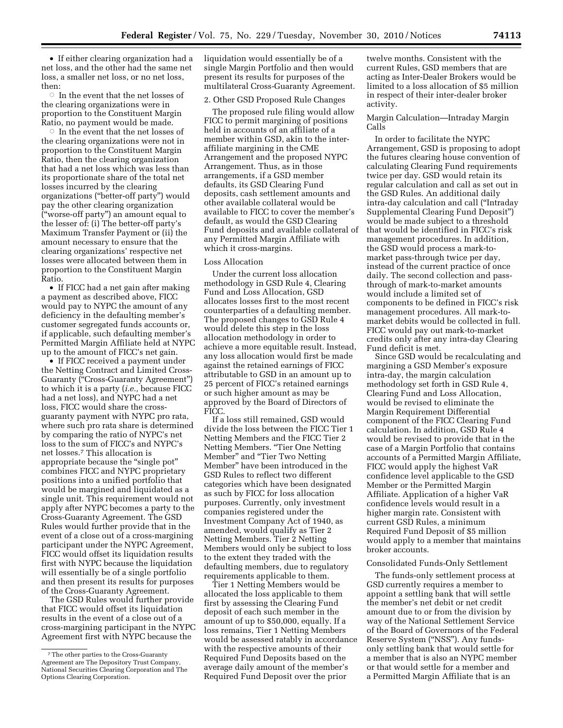• If either clearing organization had a net loss, and the other had the same net loss, a smaller net loss, or no net loss, then:

 $\circ\,$  In the event that the net losses of the clearing organizations were in proportion to the Constituent Margin Ratio, no payment would be made.

 $\circ$  In the event that the net losses of the clearing organizations were not in proportion to the Constituent Margin Ratio, then the clearing organization that had a net loss which was less than its proportionate share of the total net losses incurred by the clearing organizations (''better-off party'') would pay the other clearing organization (''worse-off party'') an amount equal to the lesser of: (i) The better-off party's Maximum Transfer Payment or (ii) the amount necessary to ensure that the clearing organizations' respective net losses were allocated between them in proportion to the Constituent Margin Ratio.

• If FICC had a net gain after making a payment as described above, FICC would pay to NYPC the amount of any deficiency in the defaulting member's customer segregated funds accounts or, if applicable, such defaulting member's Permitted Margin Affiliate held at NYPC up to the amount of FICC's net gain.

• If FICC received a payment under the Netting Contract and Limited Cross-Guaranty (''Cross-Guaranty Agreement'') to which it is a party (*i.e.,* because FICC had a net loss), and NYPC had a net loss, FICC would share the crossguaranty payment with NYPC pro rata, where such pro rata share is determined by comparing the ratio of NYPC's net loss to the sum of FICC's and NYPC's net losses.7 This allocation is appropriate because the "single pot" combines FICC and NYPC proprietary positions into a unified portfolio that would be margined and liquidated as a single unit. This requirement would not apply after NYPC becomes a party to the Cross-Guaranty Agreement. The GSD Rules would further provide that in the event of a close out of a cross-margining participant under the NYPC Agreement, FICC would offset its liquidation results first with NYPC because the liquidation will essentially be of a single portfolio and then present its results for purposes of the Cross-Guaranty Agreement.

The GSD Rules would further provide that FICC would offset its liquidation results in the event of a close out of a cross-margining participant in the NYPC Agreement first with NYPC because the

liquidation would essentially be of a single Margin Portfolio and then would present its results for purposes of the multilateral Cross-Guaranty Agreement.

#### 2. Other GSD Proposed Rule Changes

The proposed rule filing would allow FICC to permit margining of positions held in accounts of an affiliate of a member within GSD, akin to the interaffiliate margining in the CME Arrangement and the proposed NYPC Arrangement. Thus, as in those arrangements, if a GSD member defaults, its GSD Clearing Fund deposits, cash settlement amounts and other available collateral would be available to FICC to cover the member's default, as would the GSD Clearing Fund deposits and available collateral of any Permitted Margin Affiliate with which it cross-margins.

### Loss Allocation

Under the current loss allocation methodology in GSD Rule 4, Clearing Fund and Loss Allocation, GSD allocates losses first to the most recent counterparties of a defaulting member. The proposed changes to GSD Rule 4 would delete this step in the loss allocation methodology in order to achieve a more equitable result. Instead, any loss allocation would first be made against the retained earnings of FICC attributable to GSD in an amount up to 25 percent of FICC's retained earnings or such higher amount as may be approved by the Board of Directors of FICC.

If a loss still remained, GSD would divide the loss between the FICC Tier 1 Netting Members and the FICC Tier 2 Netting Members. ''Tier One Netting Member'' and ''Tier Two Netting Member'' have been introduced in the GSD Rules to reflect two different categories which have been designated as such by FICC for loss allocation purposes. Currently, only investment companies registered under the Investment Company Act of 1940, as amended, would qualify as Tier 2 Netting Members. Tier 2 Netting Members would only be subject to loss to the extent they traded with the defaulting members, due to regulatory requirements applicable to them.

Tier 1 Netting Members would be allocated the loss applicable to them first by assessing the Clearing Fund deposit of each such member in the amount of up to \$50,000, equally. If a loss remains, Tier 1 Netting Members would be assessed ratably in accordance with the respective amounts of their Required Fund Deposits based on the average daily amount of the member's Required Fund Deposit over the prior

twelve months. Consistent with the current Rules, GSD members that are acting as Inter-Dealer Brokers would be limited to a loss allocation of \$5 million in respect of their inter-dealer broker activity.

#### Margin Calculation—Intraday Margin Calls

In order to facilitate the NYPC Arrangement, GSD is proposing to adopt the futures clearing house convention of calculating Clearing Fund requirements twice per day. GSD would retain its regular calculation and call as set out in the GSD Rules. An additional daily intra-day calculation and call (''Intraday Supplemental Clearing Fund Deposit'') would be made subject to a threshold that would be identified in FICC's risk management procedures. In addition, the GSD would process a mark-tomarket pass-through twice per day, instead of the current practice of once daily. The second collection and passthrough of mark-to-market amounts would include a limited set of components to be defined in FICC's risk management procedures. All mark-tomarket debits would be collected in full. FICC would pay out mark-to-market credits only after any intra-day Clearing Fund deficit is met.

Since GSD would be recalculating and margining a GSD Member's exposure intra-day, the margin calculation methodology set forth in GSD Rule 4, Clearing Fund and Loss Allocation, would be revised to eliminate the Margin Requirement Differential component of the FICC Clearing Fund calculation. In addition, GSD Rule 4 would be revised to provide that in the case of a Margin Portfolio that contains accounts of a Permitted Margin Affiliate, FICC would apply the highest VaR confidence level applicable to the GSD Member or the Permitted Margin Affiliate. Application of a higher VaR confidence levels would result in a higher margin rate. Consistent with current GSD Rules, a minimum Required Fund Deposit of \$5 million would apply to a member that maintains broker accounts.

### Consolidated Funds-Only Settlement

The funds-only settlement process at GSD currently requires a member to appoint a settling bank that will settle the member's net debit or net credit amount due to or from the division by way of the National Settlement Service of the Board of Governors of the Federal Reserve System (''NSS''). Any fundsonly settling bank that would settle for a member that is also an NYPC member or that would settle for a member and a Permitted Margin Affiliate that is an

<sup>7</sup>The other parties to the Cross-Guaranty Agreement are The Depository Trust Company, National Securities Clearing Corporation and The Options Clearing Corporation.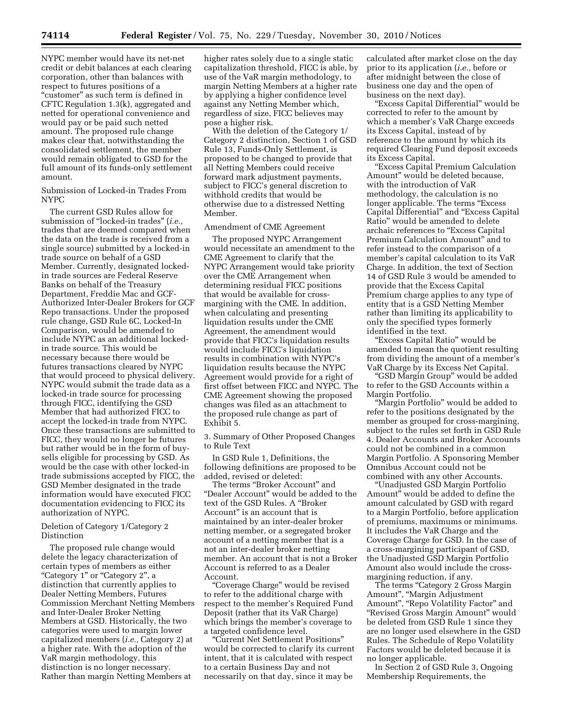NYPC member would have its net-net credit or debit balances at each clearing corporation, other than balances with respect to futures positions of a ''customer'' as such term is defined in CFTC Regulation 1.3(k), aggregated and netted for operational convenience and would pay or be paid such netted amount. The proposed rule change makes clear that, notwithstanding the consolidated settlement, the member would remain obligated to GSD for the full amount of its funds-only settlement amount.

Submission of Locked-in Trades From NYPC

The current GSD Rules allow for submission of ''locked-in trades'' (*i.e.,*  trades that are deemed compared when the data on the trade is received from a single source) submitted by a locked-in trade source on behalf of a GSD Member. Currently, designated lockedin trade sources are Federal Reserve Banks on behalf of the Treasury Department, Freddie Mac and GCF-Authorized Inter-Dealer Brokers for GCF Repo transactions. Under the proposed rule change, GSD Rule 6C, Locked-In Comparison, would be amended to include NYPC as an additional lockedin trade source. This would be necessary because there would be futures transactions cleared by NYPC that would proceed to physical delivery. NYPC would submit the trade data as a locked-in trade source for processing through FICC, identifying the GSD Member that had authorized FICC to accept the locked-in trade from NYPC. Once these transactions are submitted to FICC, they would no longer be futures but rather would be in the form of buysells eligible for processing by GSD. As would be the case with other locked-in trade submissions accepted by FICC, the GSD Member designated in the trade information would have executed FICC documentation evidencing to FICC its authorization of NYPC.

### Deletion of Category 1/Category 2 Distinction

The proposed rule change would delete the legacy characterization of certain types of members as either "Category 1" or "Category 2", a distinction that currently applies to Dealer Netting Members, Futures Commission Merchant Netting Members and Inter-Dealer Broker Netting Members at GSD. Historically, the two categories were used to margin lower capitalized members (*i.e.,* Category 2) at a higher rate. With the adoption of the VaR margin methodology, this distinction is no longer necessary. Rather than margin Netting Members at

higher rates solely due to a single static capitalization threshold, FICC is able, by use of the VaR margin methodology, to margin Netting Members at a higher rate by applying a higher confidence level against any Netting Member which, regardless of size, FICC believes may pose a higher risk.

With the deletion of the Category 1/ Category 2 distinction, Section 1 of GSD Rule 13, Funds-Only Settlement, is proposed to be changed to provide that all Netting Members could receive forward mark adjustment payments, subject to FICC's general discretion to withhold credits that would be otherwise due to a distressed Netting Member.

#### Amendment of CME Agreement

The proposed NYPC Arrangement would necessitate an amendment to the CME Agreement to clarify that the NYPC Arrangement would take priority over the CME Arrangement when determining residual FICC positions that would be available for crossmargining with the CME. In addition, when calculating and presenting liquidation results under the CME Agreement, the amendment would provide that FICC's liquidation results would include FICC's liquidation results in combination with NYPC's liquidation results because the NYPC Agreement would provide for a right of first offset between FICC and NYPC. The CME Agreement showing the proposed changes was filed as an attachment to the proposed rule change as part of Exhibit 5.

3. Summary of Other Proposed Changes to Rule Text

In GSD Rule 1, Definitions, the following definitions are proposed to be added, revised or deleted:

The terms ''Broker Account'' and ''Dealer Account'' would be added to the text of the GSD Rules. A "Broker Account'' is an account that is maintained by an inter-dealer broker netting member, or a segregated broker account of a netting member that is a not an inter-dealer broker netting member. An account that is not a Broker Account is referred to as a Dealer Account.

''Coverage Charge'' would be revised to refer to the additional charge with respect to the member's Required Fund Deposit (rather that its VaR Charge) which brings the member's coverage to a targeted confidence level.

''Current Net Settlement Positions'' would be corrected to clarify its current intent, that it is calculated with respect to a certain Business Day and not necessarily on that day, since it may be

calculated after market close on the day prior to its application (*i.e.,* before or after midnight between the close of business one day and the open of business on the next day).

"Excess Capital Differential" would be corrected to refer to the amount by which a member's VaR Charge exceeds its Excess Capital, instead of by reference to the amount by which its required Clearing Fund deposit exceeds its Excess Capital.

''Excess Capital Premium Calculation Amount'' would be deleted because, with the introduction of VaR methodology, the calculation is no longer applicable. The terms "Excess" Capital Differential'' and ''Excess Capital Ratio'' would be amended to delete archaic references to ''Excess Capital Premium Calculation Amount'' and to refer instead to the comparison of a member's capital calculation to its VaR Charge. In addition, the text of Section 14 of GSD Rule 3 would be amended to provide that the Excess Capital Premium charge applies to any type of entity that is a GSD Netting Member rather than limiting its applicability to only the specified types formerly identified in the text.

''Excess Capital Ratio'' would be amended to mean the quotient resulting from dividing the amount of a member's VaR Charge by its Excess Net Capital.

''GSD Margin Group'' would be added to refer to the GSD Accounts within a Margin Portfolio.

''Margin Portfolio'' would be added to refer to the positions designated by the member as grouped for cross-margining, subject to the rules set forth in GSD Rule 4. Dealer Accounts and Broker Accounts could not be combined in a common Margin Portfolio. A Sponsoring Member Omnibus Account could not be combined with any other Accounts.

''Unadjusted GSD Margin Portfolio Amount'' would be added to define the amount calculated by GSD with regard to a Margin Portfolio, before application of premiums, maximums or minimums. It includes the VaR Charge and the Coverage Charge for GSD. In the case of a cross-margining participant of GSD, the Unadjusted GSD Margin Portfolio Amount also would include the crossmargining reduction, if any.

The terms "Category 2 Gross Margin Amount'', ''Margin Adjustment Amount", "Repo Volatility Factor" and ''Revised Gross Margin Amount'' would be deleted from GSD Rule 1 since they are no longer used elsewhere in the GSD Rules. The Schedule of Repo Volatility Factors would be deleted because it is no longer applicable.

In Section 2 of GSD Rule 3, Ongoing Membership Requirements, the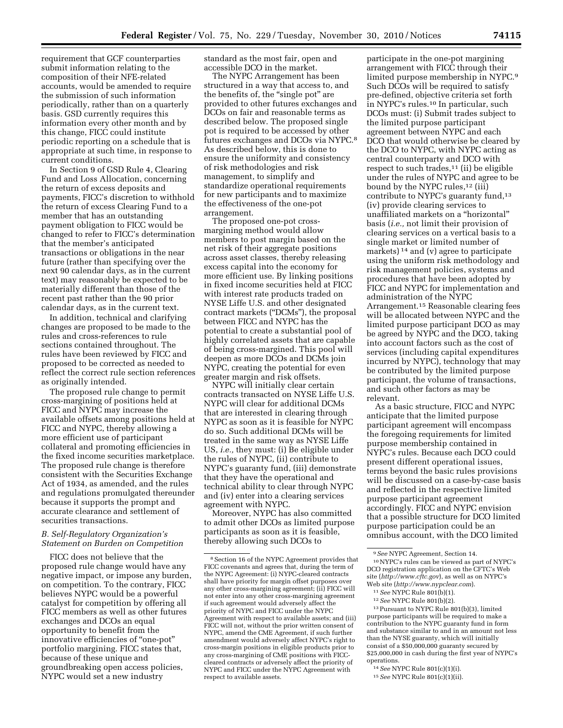requirement that GCF counterparties submit information relating to the composition of their NFE-related accounts, would be amended to require the submission of such information periodically, rather than on a quarterly basis. GSD currently requires this information every other month and by this change, FICC could institute periodic reporting on a schedule that is appropriate at such time, in response to current conditions.

In Section 9 of GSD Rule 4, Clearing Fund and Loss Allocation, concerning the return of excess deposits and payments, FICC's discretion to withhold the return of excess Clearing Fund to a member that has an outstanding payment obligation to FICC would be changed to refer to FICC's determination that the member's anticipated transactions or obligations in the near future (rather than specifying over the next 90 calendar days, as in the current text) may reasonably be expected to be materially different than those of the recent past rather than the 90 prior calendar days, as in the current text.

In addition, technical and clarifying changes are proposed to be made to the rules and cross-references to rule sections contained throughout. The rules have been reviewed by FICC and proposed to be corrected as needed to reflect the correct rule section references as originally intended.

The proposed rule change to permit cross-margining of positions held at FICC and NYPC may increase the available offsets among positions held at FICC and NYPC, thereby allowing a more efficient use of participant collateral and promoting efficiencies in the fixed income securities marketplace. The proposed rule change is therefore consistent with the Securities Exchange Act of 1934, as amended, and the rules and regulations promulgated thereunder because it supports the prompt and accurate clearance and settlement of securities transactions.

#### *B. Self-Regulatory Organization's Statement on Burden on Competition*

FICC does not believe that the proposed rule change would have any negative impact, or impose any burden, on competition. To the contrary, FICC believes NYPC would be a powerful catalyst for competition by offering all FICC members as well as other futures exchanges and DCOs an equal opportunity to benefit from the innovative efficiencies of ''one-pot'' portfolio margining. FICC states that, because of these unique and groundbreaking open access policies, NYPC would set a new industry

standard as the most fair, open and accessible DCO in the market.

The NYPC Arrangement has been structured in a way that access to, and the benefits of, the "single pot" are provided to other futures exchanges and DCOs on fair and reasonable terms as described below. The proposed single pot is required to be accessed by other futures exchanges and DCOs via NYPC.8 As described below, this is done to ensure the uniformity and consistency of risk methodologies and risk management, to simplify and standardize operational requirements for new participants and to maximize the effectiveness of the one-pot arrangement.

The proposed one-pot crossmargining method would allow members to post margin based on the net risk of their aggregate positions across asset classes, thereby releasing excess capital into the economy for more efficient use. By linking positions in fixed income securities held at FICC with interest rate products traded on NYSE Liffe U.S. and other designated contract markets (''DCMs''), the proposal between FICC and NYPC has the potential to create a substantial pool of highly correlated assets that are capable of being cross-margined. This pool will deepen as more DCOs and DCMs join NYPC, creating the potential for even greater margin and risk offsets.

NYPC will initially clear certain contracts transacted on NYSE Liffe U.S. NYPC will clear for additional DCMs that are interested in clearing through NYPC as soon as it is feasible for NYPC do so. Such additional DCMs will be treated in the same way as NYSE Liffe US, *i.e.,* they must: (i) Be eligible under the rules of NYPC, (ii) contribute to NYPC's guaranty fund, (iii) demonstrate that they have the operational and technical ability to clear through NYPC and (iv) enter into a clearing services agreement with NYPC.

Moreover, NYPC has also committed to admit other DCOs as limited purpose participants as soon as it is feasible, thereby allowing such DCOs to

participate in the one-pot margining arrangement with FICC through their limited purpose membership in NYPC.9 Such DCOs will be required to satisfy pre-defined, objective criteria set forth in NYPC's rules.10 In particular, such DCOs must: (i) Submit trades subject to the limited purpose participant agreement between NYPC and each DCO that would otherwise be cleared by the DCO to NYPC, with NYPC acting as central counterparty and DCO with respect to such trades, $11$  (ii) be eligible under the rules of NYPC and agree to be bound by the NYPC rules,<sup>12</sup> (iii) contribute to NYPC's guaranty fund,<sup>13</sup> (iv) provide clearing services to unaffiliated markets on a ''horizontal'' basis (*i.e.,* not limit their provision of clearing services on a vertical basis to a single market or limited number of markets) 14 and (v) agree to participate using the uniform risk methodology and risk management policies, systems and procedures that have been adopted by FICC and NYPC for implementation and administration of the NYPC Arrangement.15 Reasonable clearing fees will be allocated between NYPC and the limited purpose participant DCO as may be agreed by NYPC and the DCO, taking into account factors such as the cost of services (including capital expenditures incurred by NYPC), technology that may be contributed by the limited purpose participant, the volume of transactions, and such other factors as may be relevant.

As a basic structure, FICC and NYPC anticipate that the limited purpose participant agreement will encompass the foregoing requirements for limited purpose membership contained in NYPC's rules. Because each DCO could present different operational issues, terms beyond the basic rules provisions will be discussed on a case-by-case basis and reflected in the respective limited purpose participant agreement accordingly. FICC and NYPC envision that a possible structure for DCO limited purpose participation could be an omnibus account, with the DCO limited

10NYPC's rules can be viewed as part of NYPC's DCO registration application on the CFTC's Web site (*<http://www.cftc.gov>*), as well as on NYPC's Web site (*<http://www.nypclear.com>*).

13Pursuant to NYPC Rule 801(b)(3), limited purpose participants will be required to make a contribution to the NYPC guaranty fund in form and substance similar to and in an amount not less than the NYSE guaranty, which will initially consist of a \$50,000,000 guaranty secured by \$25,000,000 in cash during the first year of NYPC's operations.

14*See* NYPC Rule 801(c)(1)(i).

15*See* NYPC Rule 801(c)(1)(ii).

<sup>8</sup>Section 16 of the NYPC Agreement provides that FICC covenants and agrees that, during the term of the NYPC Agreement: (i) NYPC-cleared contracts shall have priority for margin offset purposes over any other cross-margining agreement; (ii) FICC will not enter into any other cross-margining agreement if such agreement would adversely affect the priority of NYPC and FICC under the NYPC Agreement with respect to available assets; and (iii) FICC will not, without the prior written consent of NYPC, amend the CME Agreement, if such further amendment would adversely affect NYPC's right to cross-margin positions in eligible products prior to any cross-margining of CME positions with FICCcleared contracts or adversely affect the priority of NYPC and FICC under the NYPC Agreement with respect to available assets.

<sup>9</sup>*See* NYPC Agreement, Section 14.

<sup>11</sup>*See* NYPC Rule 801(b)(1).

<sup>12</sup>*See* NYPC Rule 801(b)(2).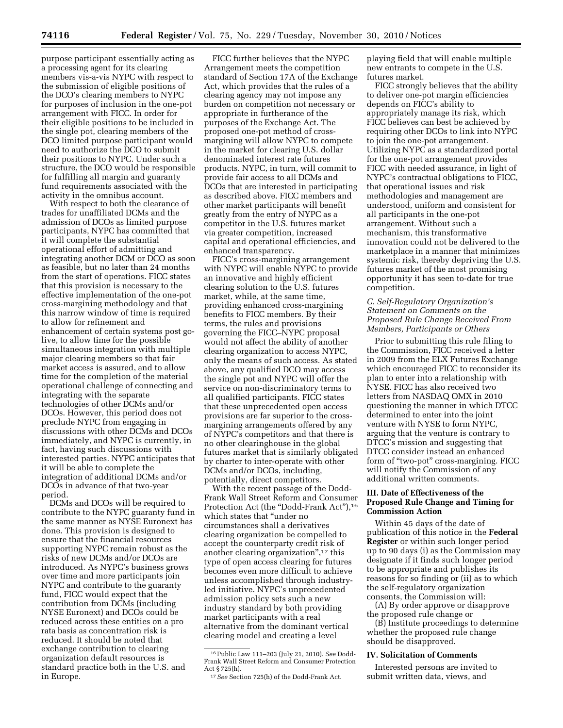purpose participant essentially acting as a processing agent for its clearing members vis-a-vis NYPC with respect to the submission of eligible positions of the DCO's clearing members to NYPC for purposes of inclusion in the one-pot arrangement with FICC. In order for their eligible positions to be included in the single pot, clearing members of the DCO limited purpose participant would need to authorize the DCO to submit their positions to NYPC. Under such a structure, the DCO would be responsible for fulfilling all margin and guaranty fund requirements associated with the activity in the omnibus account.

With respect to both the clearance of trades for unaffiliated DCMs and the admission of DCOs as limited purpose participants, NYPC has committed that it will complete the substantial operational effort of admitting and integrating another DCM or DCO as soon as feasible, but no later than 24 months from the start of operations. FICC states that this provision is necessary to the effective implementation of the one-pot cross-margining methodology and that this narrow window of time is required to allow for refinement and enhancement of certain systems post golive, to allow time for the possible simultaneous integration with multiple major clearing members so that fair market access is assured, and to allow time for the completion of the material operational challenge of connecting and integrating with the separate technologies of other DCMs and/or DCOs. However, this period does not preclude NYPC from engaging in discussions with other DCMs and DCOs immediately, and NYPC is currently, in fact, having such discussions with interested parties. NYPC anticipates that it will be able to complete the integration of additional DCMs and/or DCOs in advance of that two-year period.

DCMs and DCOs will be required to contribute to the NYPC guaranty fund in the same manner as NYSE Euronext has done. This provision is designed to ensure that the financial resources supporting NYPC remain robust as the risks of new DCMs and/or DCOs are introduced. As NYPC's business grows over time and more participants join NYPC and contribute to the guaranty fund, FICC would expect that the contribution from DCMs (including NYSE Euronext) and DCOs could be reduced across these entities on a pro rata basis as concentration risk is reduced. It should be noted that exchange contribution to clearing organization default resources is standard practice both in the U.S. and in Europe.

FICC further believes that the NYPC Arrangement meets the competition standard of Section 17A of the Exchange Act, which provides that the rules of a clearing agency may not impose any burden on competition not necessary or appropriate in furtherance of the purposes of the Exchange Act. The proposed one-pot method of crossmargining will allow NYPC to compete in the market for clearing U.S. dollar denominated interest rate futures products. NYPC, in turn, will commit to provide fair access to all DCMs and DCOs that are interested in participating as described above. FICC members and other market participants will benefit greatly from the entry of NYPC as a competitor in the U.S. futures market via greater competition, increased capital and operational efficiencies, and enhanced transparency.

FICC's cross-margining arrangement with NYPC will enable NYPC to provide an innovative and highly efficient clearing solution to the U.S. futures market, while, at the same time, providing enhanced cross-margining benefits to FICC members. By their terms, the rules and provisions governing the FICC–NYPC proposal would not affect the ability of another clearing organization to access NYPC, only the means of such access. As stated above, any qualified DCO may access the single pot and NYPC will offer the service on non-discriminatory terms to all qualified participants. FICC states that these unprecedented open access provisions are far superior to the crossmargining arrangements offered by any of NYPC's competitors and that there is no other clearinghouse in the global futures market that is similarly obligated by charter to inter-operate with other DCMs and/or DCOs, including, potentially, direct competitors.

With the recent passage of the Dodd-Frank Wall Street Reform and Consumer Protection Act (the "Dodd-Frank Act"),<sup>16</sup> which states that ''under no circumstances shall a derivatives clearing organization be compelled to accept the counterparty credit risk of another clearing organization'',17 this type of open access clearing for futures becomes even more difficult to achieve unless accomplished through industryled initiative. NYPC's unprecedented admission policy sets such a new industry standard by both providing market participants with a real alternative from the dominant vertical clearing model and creating a level

playing field that will enable multiple new entrants to compete in the U.S. futures market.

FICC strongly believes that the ability to deliver one-pot margin efficiencies depends on FICC's ability to appropriately manage its risk, which FICC believes can best be achieved by requiring other DCOs to link into NYPC to join the one-pot arrangement. Utilizing NYPC as a standardized portal for the one-pot arrangement provides FICC with needed assurance, in light of NYPC's contractual obligations to FICC, that operational issues and risk methodologies and management are understood, uniform and consistent for all participants in the one-pot arrangement. Without such a mechanism, this transformative innovation could not be delivered to the marketplace in a manner that minimizes systemic risk, thereby depriving the U.S. futures market of the most promising opportunity it has seen to-date for true competition.

### *C. Self-Regulatory Organization's Statement on Comments on the Proposed Rule Change Received From Members, Participants or Others*

Prior to submitting this rule filing to the Commission, FICC received a letter in 2009 from the ELX Futures Exchange which encouraged FICC to reconsider its plan to enter into a relationship with NYSE. FICC has also received two letters from NASDAQ OMX in 2010 questioning the manner in which DTCC determined to enter into the joint venture with NYSE to form NYPC, arguing that the venture is contrary to DTCC's mission and suggesting that DTCC consider instead an enhanced form of "two-pot" cross-margining. FICC will notify the Commission of any additional written comments.

## **III. Date of Effectiveness of the Proposed Rule Change and Timing for Commission Action**

Within 45 days of the date of publication of this notice in the **Federal Register** or within such longer period up to 90 days (i) as the Commission may designate if it finds such longer period to be appropriate and publishes its reasons for so finding or (ii) as to which the self-regulatory organization consents, the Commission will:

(A) By order approve or disapprove the proposed rule change or

(B) Institute proceedings to determine whether the proposed rule change should be disapproved.

### **IV. Solicitation of Comments**

Interested persons are invited to submit written data, views, and

<sup>16</sup>Public Law 111–203 (July 21, 2010). *See* Dodd-Frank Wall Street Reform and Consumer Protection Act § 725(h).

<sup>17</sup>*See* Section 725(h) of the Dodd-Frank Act.